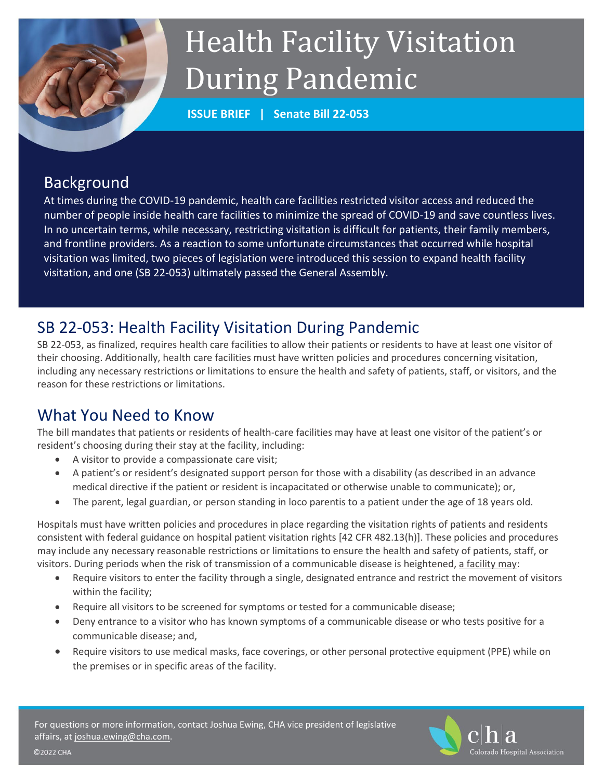# Health Facility Visitation During Pandemic

**ISSUE BRIEF | Senate Bill 22-053**

## Background

At times during the COVID-19 pandemic, health care facilities restricted visitor access and reduced the number of people inside health care facilities to minimize the spread of COVID-19 and save countless lives. In no uncertain terms, while necessary, restricting visitation is difficult for patients, their family members, and frontline providers. As a reaction to some unfortunate circumstances that occurred while hospital visitation was limited, two pieces of legislation were introduced this session to expand health facility visitation, and one (SB 22-053) ultimately passed the General Assembly.

# SB 22-053: Health Facility Visitation During Pandemic

SB 22-053, as finalized, requires health care facilities to allow their patients or residents to have at least one visitor of their choosing. Additionally, health care facilities must have written policies and procedures concerning visitation, including any necessary restrictions or limitations to ensure the health and safety of patients, staff, or visitors, and the reason for these restrictions or limitations.

# What You Need to Know

The bill mandates that patients or residents of health-care facilities may have at least one visitor of the patient's or resident's choosing during their stay at the facility, including:

- A visitor to provide a compassionate care visit;
- A patient's or resident's designated support person for those with a disability (as described in an advance medical directive if the patient or resident is incapacitated or otherwise unable to communicate); or,
- The parent, legal guardian, or person standing in loco parentis to a patient under the age of 18 years old.

Hospitals must have written policies and procedures in place regarding the visitation rights of patients and residents consistent with federal guidance on hospital patient visitation rights [42 CFR 482.13(h)]. These policies and procedures may include any necessary reasonable restrictions or limitations to ensure the health and safety of patients, staff, or visitors. During periods when the risk of transmission of a communicable disease is heightened, a facility may:

- Require visitors to enter the facility through a single, designated entrance and restrict the movement of visitors within the facility;
- Require all visitors to be screened for symptoms or tested for a communicable disease;
- Deny entrance to a visitor who has known symptoms of a communicable disease or who tests positive for a communicable disease; and,
- Require visitors to use medical masks, face coverings, or other personal protective equipment (PPE) while on the premises or in specific areas of the facility.